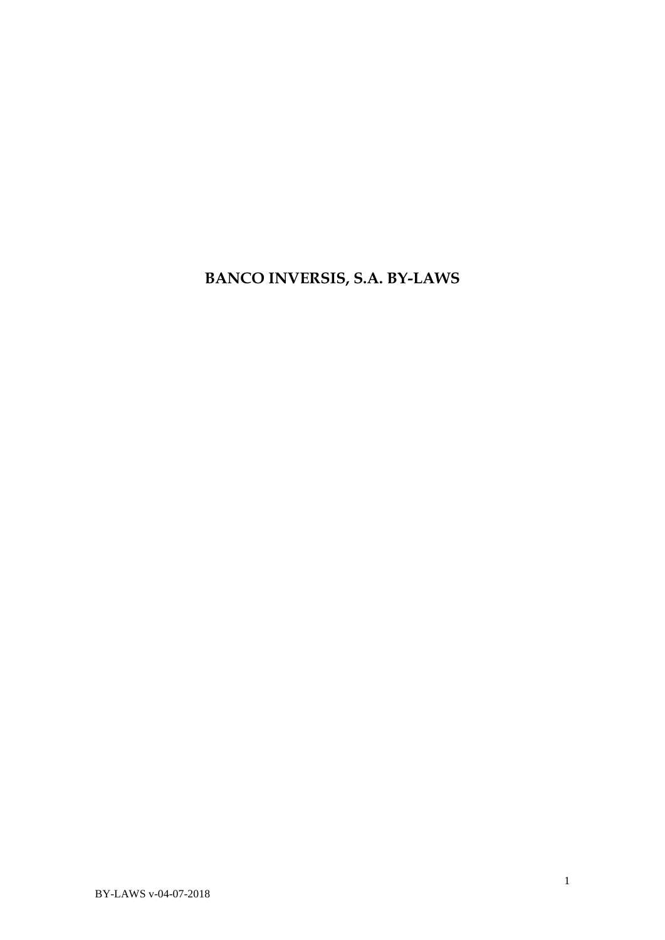**BANCO INVERSIS, S.A. BY-LAWS**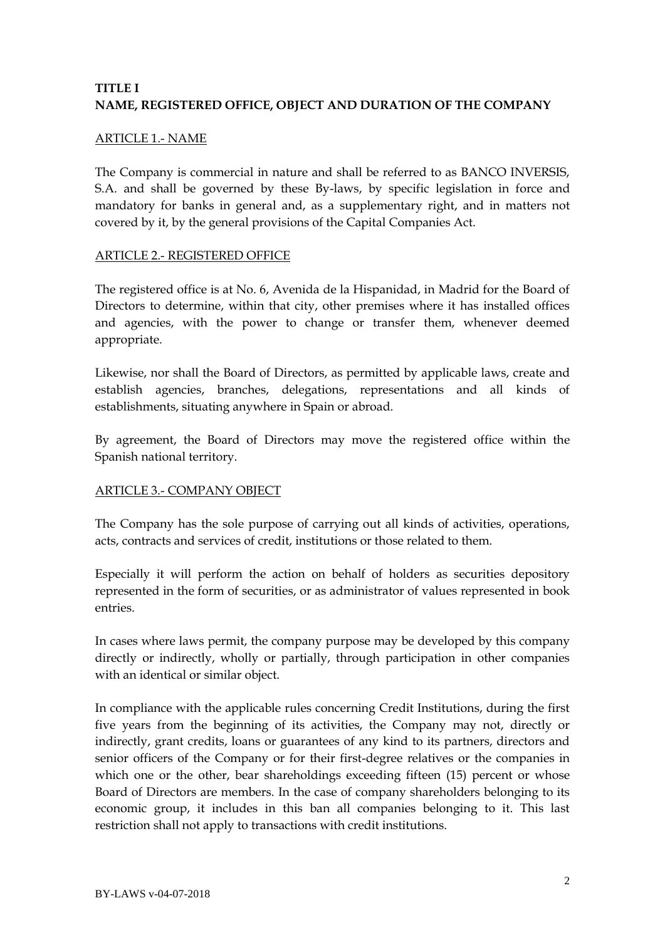# **TITLE I NAME, REGISTERED OFFICE, OBJECT AND DURATION OF THE COMPANY**

#### ARTICLE 1.- NAME

The Company is commercial in nature and shall be referred to as BANCO INVERSIS, S.A. and shall be governed by these By-laws, by specific legislation in force and mandatory for banks in general and, as a supplementary right, and in matters not covered by it, by the general provisions of the Capital Companies Act.

#### ARTICLE 2.- REGISTERED OFFICE

The registered office is at No. 6, Avenida de la Hispanidad, in Madrid for the Board of Directors to determine, within that city, other premises where it has installed offices and agencies, with the power to change or transfer them, whenever deemed appropriate.

Likewise, nor shall the Board of Directors, as permitted by applicable laws, create and establish agencies, branches, delegations, representations and all kinds of establishments, situating anywhere in Spain or abroad.

By agreement, the Board of Directors may move the registered office within the Spanish national territory.

### ARTICLE 3.- COMPANY OBJECT

The Company has the sole purpose of carrying out all kinds of activities, operations, acts, contracts and services of credit, institutions or those related to them.

Especially it will perform the action on behalf of holders as securities depository represented in the form of securities, or as administrator of values represented in book entries.

In cases where laws permit, the company purpose may be developed by this company directly or indirectly, wholly or partially, through participation in other companies with an identical or similar object.

In compliance with the applicable rules concerning Credit Institutions, during the first five years from the beginning of its activities, the Company may not, directly or indirectly, grant credits, loans or guarantees of any kind to its partners, directors and senior officers of the Company or for their first-degree relatives or the companies in which one or the other, bear shareholdings exceeding fifteen (15) percent or whose Board of Directors are members. In the case of company shareholders belonging to its economic group, it includes in this ban all companies belonging to it. This last restriction shall not apply to transactions with credit institutions.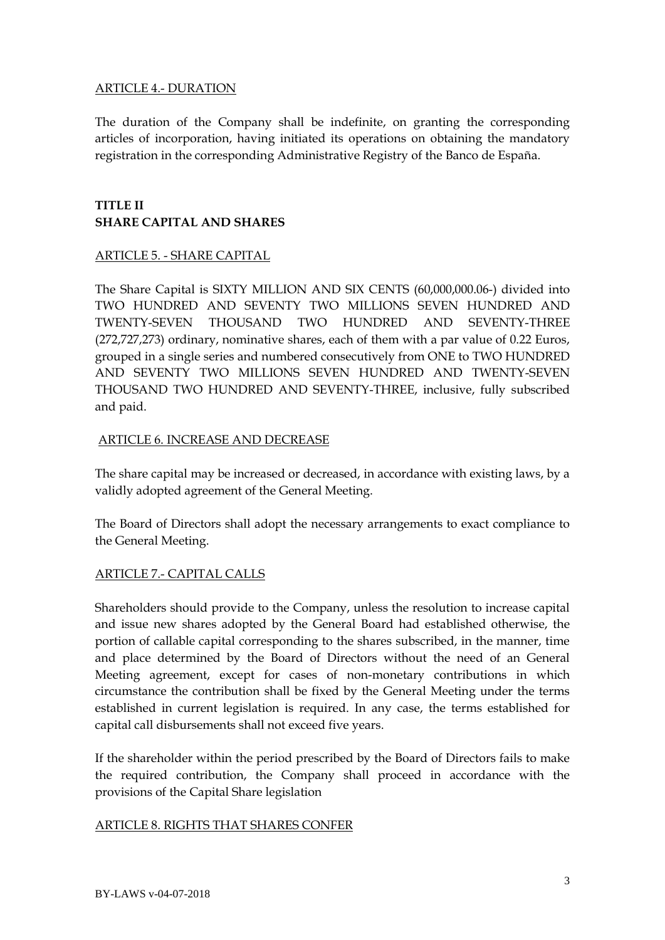### ARTICLE 4.- DURATION

The duration of the Company shall be indefinite, on granting the corresponding articles of incorporation, having initiated its operations on obtaining the mandatory registration in the corresponding Administrative Registry of the Banco de España.

# **TITLE II SHARE CAPITAL AND SHARES**

## ARTICLE 5. - SHARE CAPITAL

The Share Capital is SIXTY MILLION AND SIX CENTS (60,000,000.06-) divided into TWO HUNDRED AND SEVENTY TWO MILLIONS SEVEN HUNDRED AND TWENTY-SEVEN THOUSAND TWO HUNDRED AND SEVENTY-THREE (272,727,273) ordinary, nominative shares, each of them with a par value of 0.22 Euros, grouped in a single series and numbered consecutively from ONE to TWO HUNDRED AND SEVENTY TWO MILLIONS SEVEN HUNDRED AND TWENTY-SEVEN THOUSAND TWO HUNDRED AND SEVENTY-THREE, inclusive, fully subscribed and paid.

## ARTICLE 6. INCREASE AND DECREASE

The share capital may be increased or decreased, in accordance with existing laws, by a validly adopted agreement of the General Meeting.

The Board of Directors shall adopt the necessary arrangements to exact compliance to the General Meeting.

## ARTICLE 7.- CAPITAL CALLS

Shareholders should provide to the Company, unless the resolution to increase capital and issue new shares adopted by the General Board had established otherwise, the portion of callable capital corresponding to the shares subscribed, in the manner, time and place determined by the Board of Directors without the need of an General Meeting agreement, except for cases of non-monetary contributions in which circumstance the contribution shall be fixed by the General Meeting under the terms established in current legislation is required. In any case, the terms established for capital call disbursements shall not exceed five years.

If the shareholder within the period prescribed by the Board of Directors fails to make the required contribution, the Company shall proceed in accordance with the provisions of the Capital Share legislation

### ARTICLE 8. RIGHTS THAT SHARES CONFER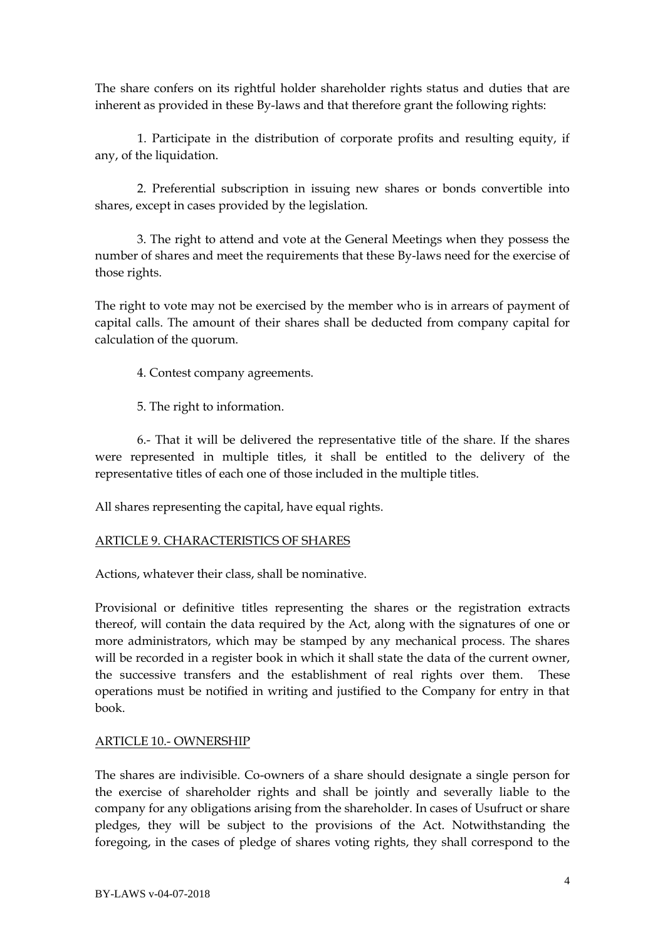The share confers on its rightful holder shareholder rights status and duties that are inherent as provided in these By-laws and that therefore grant the following rights:

1. Participate in the distribution of corporate profits and resulting equity, if any, of the liquidation.

2. Preferential subscription in issuing new shares or bonds convertible into shares, except in cases provided by the legislation.

3. The right to attend and vote at the General Meetings when they possess the number of shares and meet the requirements that these By-laws need for the exercise of those rights.

The right to vote may not be exercised by the member who is in arrears of payment of capital calls. The amount of their shares shall be deducted from company capital for calculation of the quorum.

4. Contest company agreements.

5. The right to information.

6.- That it will be delivered the representative title of the share. If the shares were represented in multiple titles, it shall be entitled to the delivery of the representative titles of each one of those included in the multiple titles.

All shares representing the capital, have equal rights.

### ARTICLE 9. CHARACTERISTICS OF SHARES

Actions, whatever their class, shall be nominative.

Provisional or definitive titles representing the shares or the registration extracts thereof, will contain the data required by the Act, along with the signatures of one or more administrators, which may be stamped by any mechanical process. The shares will be recorded in a register book in which it shall state the data of the current owner, the successive transfers and the establishment of real rights over them. These operations must be notified in writing and justified to the Company for entry in that book.

### ARTICLE 10.- OWNERSHIP

The shares are indivisible. Co-owners of a share should designate a single person for the exercise of shareholder rights and shall be jointly and severally liable to the company for any obligations arising from the shareholder. In cases of Usufruct or share pledges, they will be subject to the provisions of the Act. Notwithstanding the foregoing, in the cases of pledge of shares voting rights, they shall correspond to the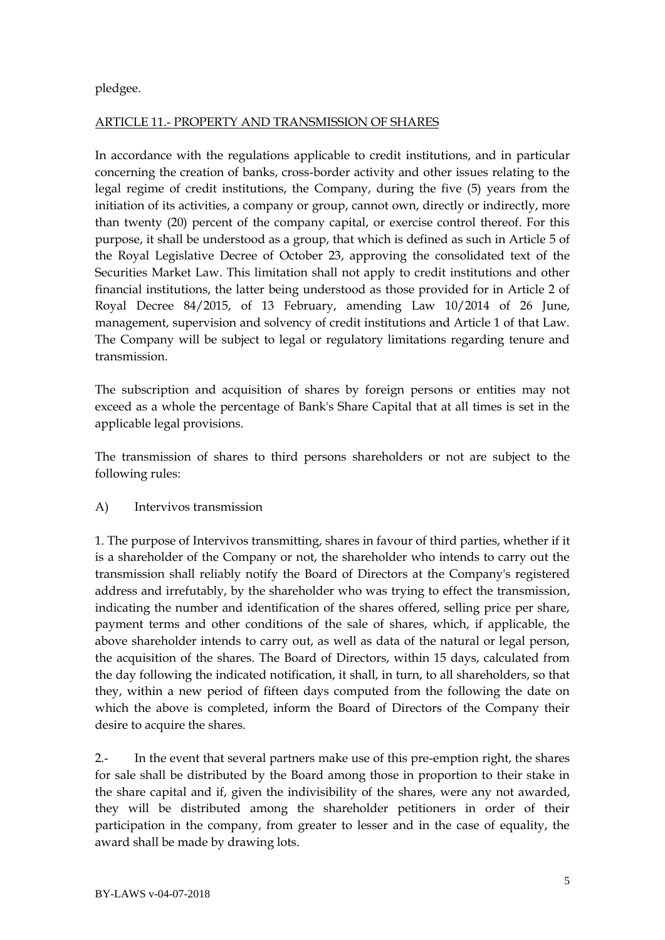pledgee.

## ARTICLE 11.- PROPERTY AND TRANSMISSION OF SHARES

In accordance with the regulations applicable to credit institutions, and in particular concerning the creation of banks, cross-border activity and other issues relating to the legal regime of credit institutions, the Company, during the five (5) years from the initiation of its activities, a company or group, cannot own, directly or indirectly, more than twenty (20) percent of the company capital, or exercise control thereof. For this purpose, it shall be understood as a group, that which is defined as such in Article 5 of the Royal Legislative Decree of October 23, approving the consolidated text of the Securities Market Law. This limitation shall not apply to credit institutions and other financial institutions, the latter being understood as those provided for in Article 2 of Royal Decree 84/2015, of 13 February, amending Law 10/2014 of 26 June, management, supervision and solvency of credit institutions and Article 1 of that Law. The Company will be subject to legal or regulatory limitations regarding tenure and transmission.

The subscription and acquisition of shares by foreign persons or entities may not exceed as a whole the percentage of Bank's Share Capital that at all times is set in the applicable legal provisions.

The transmission of shares to third persons shareholders or not are subject to the following rules:

## A) Intervivos transmission

1. The purpose of Intervivos transmitting, shares in favour of third parties, whether if it is a shareholder of the Company or not, the shareholder who intends to carry out the transmission shall reliably notify the Board of Directors at the Company's registered address and irrefutably, by the shareholder who was trying to effect the transmission, indicating the number and identification of the shares offered, selling price per share, payment terms and other conditions of the sale of shares, which, if applicable, the above shareholder intends to carry out, as well as data of the natural or legal person, the acquisition of the shares. The Board of Directors, within 15 days, calculated from the day following the indicated notification, it shall, in turn, to all shareholders, so that they, within a new period of fifteen days computed from the following the date on which the above is completed, inform the Board of Directors of the Company their desire to acquire the shares.

2.- In the event that several partners make use of this pre-emption right, the shares for sale shall be distributed by the Board among those in proportion to their stake in the share capital and if, given the indivisibility of the shares, were any not awarded, they will be distributed among the shareholder petitioners in order of their participation in the company, from greater to lesser and in the case of equality, the award shall be made by drawing lots.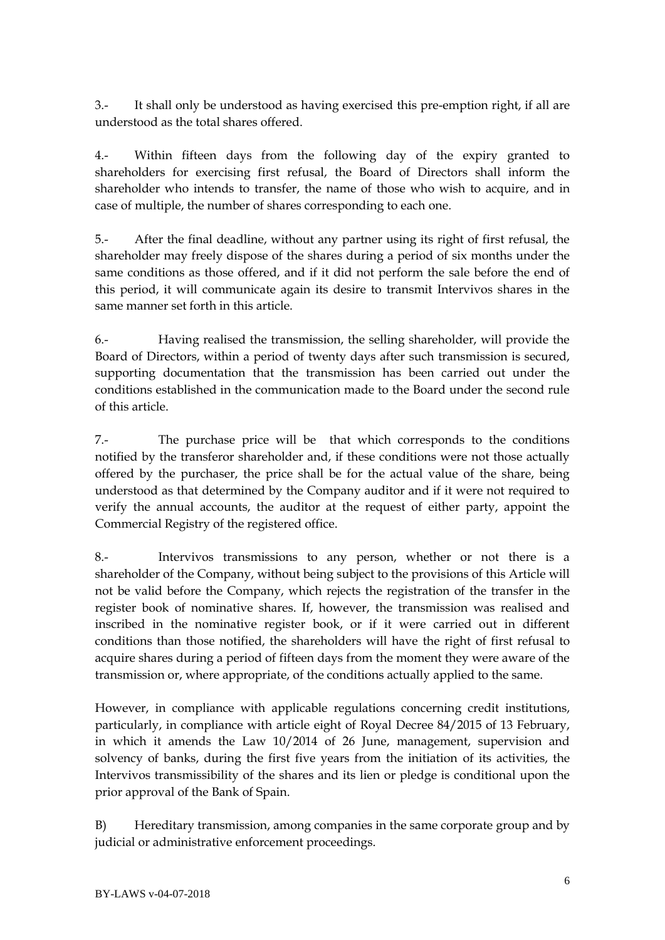3.- It shall only be understood as having exercised this pre-emption right, if all are understood as the total shares offered.

4.- Within fifteen days from the following day of the expiry granted to shareholders for exercising first refusal, the Board of Directors shall inform the shareholder who intends to transfer, the name of those who wish to acquire, and in case of multiple, the number of shares corresponding to each one.

5.- After the final deadline, without any partner using its right of first refusal, the shareholder may freely dispose of the shares during a period of six months under the same conditions as those offered, and if it did not perform the sale before the end of this period, it will communicate again its desire to transmit Intervivos shares in the same manner set forth in this article.

6.- Having realised the transmission, the selling shareholder, will provide the Board of Directors, within a period of twenty days after such transmission is secured, supporting documentation that the transmission has been carried out under the conditions established in the communication made to the Board under the second rule of this article.

7.- The purchase price will be that which corresponds to the conditions notified by the transferor shareholder and, if these conditions were not those actually offered by the purchaser, the price shall be for the actual value of the share, being understood as that determined by the Company auditor and if it were not required to verify the annual accounts, the auditor at the request of either party, appoint the Commercial Registry of the registered office.

8.- Intervivos transmissions to any person, whether or not there is a shareholder of the Company, without being subject to the provisions of this Article will not be valid before the Company, which rejects the registration of the transfer in the register book of nominative shares. If, however, the transmission was realised and inscribed in the nominative register book, or if it were carried out in different conditions than those notified, the shareholders will have the right of first refusal to acquire shares during a period of fifteen days from the moment they were aware of the transmission or, where appropriate, of the conditions actually applied to the same.

However, in compliance with applicable regulations concerning credit institutions, particularly, in compliance with article eight of Royal Decree 84/2015 of 13 February, in which it amends the Law 10/2014 of 26 June, management, supervision and solvency of banks, during the first five years from the initiation of its activities, the Intervivos transmissibility of the shares and its lien or pledge is conditional upon the prior approval of the Bank of Spain.

B) Hereditary transmission, among companies in the same corporate group and by judicial or administrative enforcement proceedings.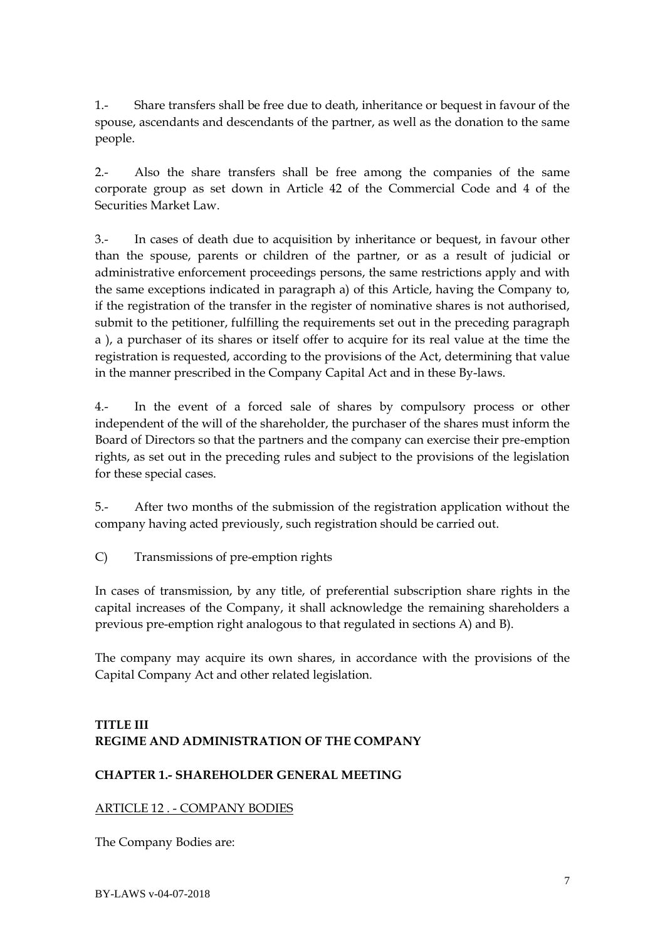1.- Share transfers shall be free due to death, inheritance or bequest in favour of the spouse, ascendants and descendants of the partner, as well as the donation to the same people.

2.- Also the share transfers shall be free among the companies of the same corporate group as set down in Article 42 of the Commercial Code and 4 of the Securities Market Law.

3.- In cases of death due to acquisition by inheritance or bequest, in favour other than the spouse, parents or children of the partner, or as a result of judicial or administrative enforcement proceedings persons, the same restrictions apply and with the same exceptions indicated in paragraph a) of this Article, having the Company to, if the registration of the transfer in the register of nominative shares is not authorised, submit to the petitioner, fulfilling the requirements set out in the preceding paragraph a ), a purchaser of its shares or itself offer to acquire for its real value at the time the registration is requested, according to the provisions of the Act, determining that value in the manner prescribed in the Company Capital Act and in these By-laws.

4.- In the event of a forced sale of shares by compulsory process or other independent of the will of the shareholder, the purchaser of the shares must inform the Board of Directors so that the partners and the company can exercise their pre-emption rights, as set out in the preceding rules and subject to the provisions of the legislation for these special cases.

5.- After two months of the submission of the registration application without the company having acted previously, such registration should be carried out.

C) Transmissions of pre-emption rights

In cases of transmission, by any title, of preferential subscription share rights in the capital increases of the Company, it shall acknowledge the remaining shareholders a previous pre-emption right analogous to that regulated in sections A) and B).

The company may acquire its own shares, in accordance with the provisions of the Capital Company Act and other related legislation.

# **TITLE III REGIME AND ADMINISTRATION OF THE COMPANY**

# **CHAPTER 1.- SHAREHOLDER GENERAL MEETING**

# ARTICLE 12 . - COMPANY BODIES

The Company Bodies are: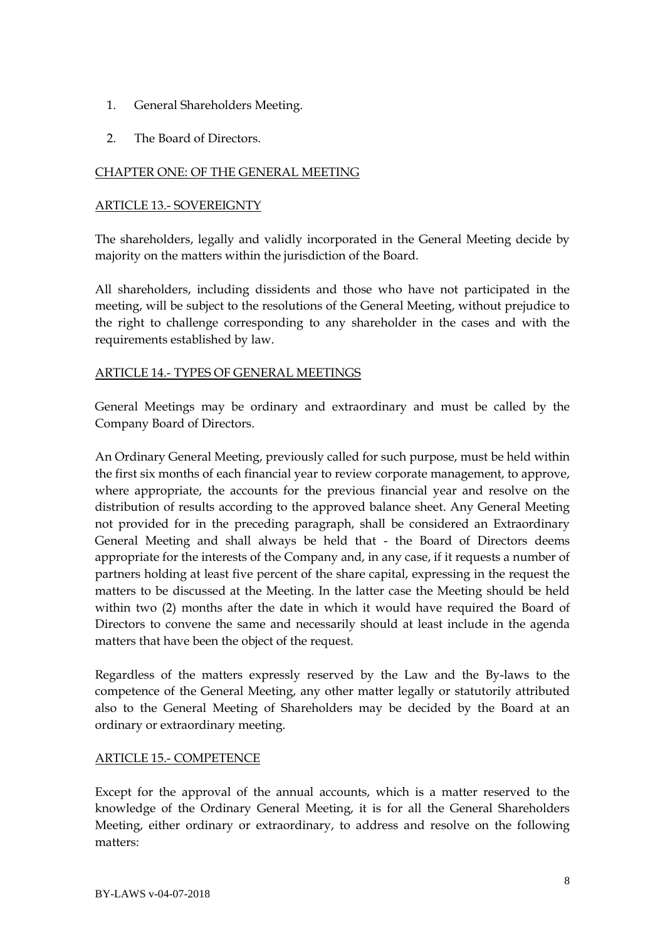- 1. General Shareholders Meeting.
- 2. The Board of Directors.

## CHAPTER ONE: OF THE GENERAL MEETING

### ARTICLE 13.- SOVEREIGNTY

The shareholders, legally and validly incorporated in the General Meeting decide by majority on the matters within the jurisdiction of the Board.

All shareholders, including dissidents and those who have not participated in the meeting, will be subject to the resolutions of the General Meeting, without prejudice to the right to challenge corresponding to any shareholder in the cases and with the requirements established by law.

### ARTICLE 14.- TYPES OF GENERAL MEETINGS

General Meetings may be ordinary and extraordinary and must be called by the Company Board of Directors.

An Ordinary General Meeting, previously called for such purpose, must be held within the first six months of each financial year to review corporate management, to approve, where appropriate, the accounts for the previous financial year and resolve on the distribution of results according to the approved balance sheet. Any General Meeting not provided for in the preceding paragraph, shall be considered an Extraordinary General Meeting and shall always be held that - the Board of Directors deems appropriate for the interests of the Company and, in any case, if it requests a number of partners holding at least five percent of the share capital, expressing in the request the matters to be discussed at the Meeting. In the latter case the Meeting should be held within two (2) months after the date in which it would have required the Board of Directors to convene the same and necessarily should at least include in the agenda matters that have been the object of the request.

Regardless of the matters expressly reserved by the Law and the By-laws to the competence of the General Meeting, any other matter legally or statutorily attributed also to the General Meeting of Shareholders may be decided by the Board at an ordinary or extraordinary meeting.

### ARTICLE 15.- COMPETENCE

Except for the approval of the annual accounts, which is a matter reserved to the knowledge of the Ordinary General Meeting, it is for all the General Shareholders Meeting, either ordinary or extraordinary, to address and resolve on the following matters: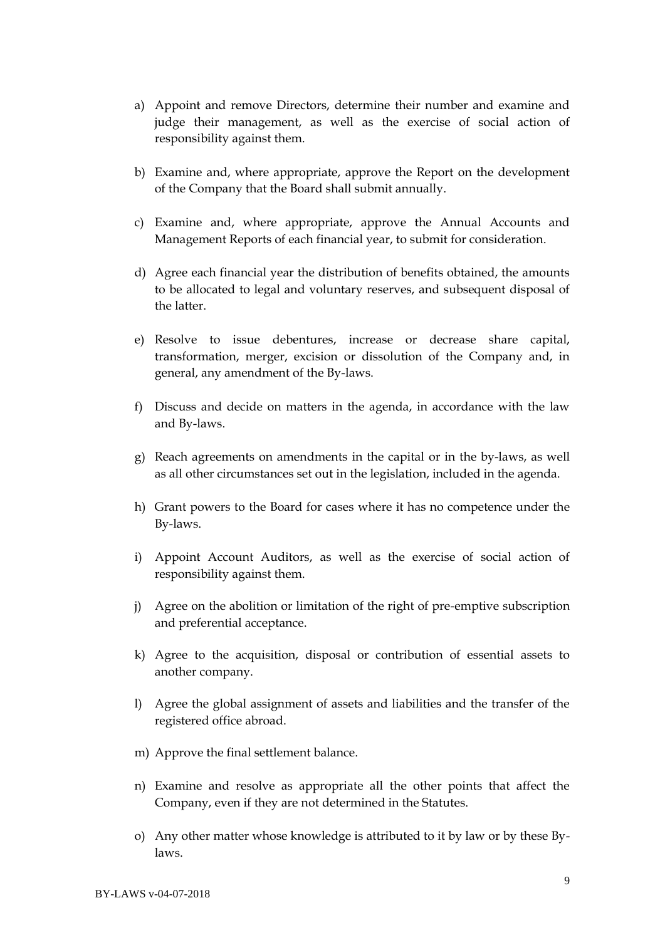- a) Appoint and remove Directors, determine their number and examine and judge their management, as well as the exercise of social action of responsibility against them.
- b) Examine and, where appropriate, approve the Report on the development of the Company that the Board shall submit annually.
- c) Examine and, where appropriate, approve the Annual Accounts and Management Reports of each financial year, to submit for consideration.
- d) Agree each financial year the distribution of benefits obtained, the amounts to be allocated to legal and voluntary reserves, and subsequent disposal of the latter.
- e) Resolve to issue debentures, increase or decrease share capital, transformation, merger, excision or dissolution of the Company and, in general, any amendment of the By-laws.
- f) Discuss and decide on matters in the agenda, in accordance with the law and By-laws.
- g) Reach agreements on amendments in the capital or in the by-laws, as well as all other circumstances set out in the legislation, included in the agenda.
- h) Grant powers to the Board for cases where it has no competence under the By-laws.
- i) Appoint Account Auditors, as well as the exercise of social action of responsibility against them.
- j) Agree on the abolition or limitation of the right of pre-emptive subscription and preferential acceptance.
- k) Agree to the acquisition, disposal or contribution of essential assets to another company.
- l) Agree the global assignment of assets and liabilities and the transfer of the registered office abroad.
- m) Approve the final settlement balance.
- n) Examine and resolve as appropriate all the other points that affect the Company, even if they are not determined in the Statutes.
- o) Any other matter whose knowledge is attributed to it by law or by these Bylaws.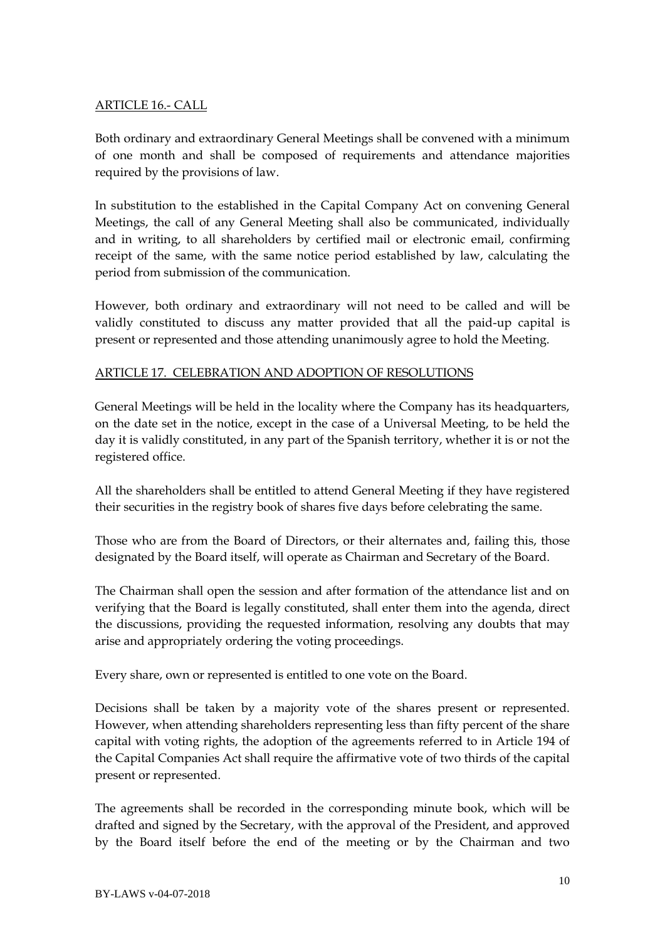## ARTICLE 16.- CALL

Both ordinary and extraordinary General Meetings shall be convened with a minimum of one month and shall be composed of requirements and attendance majorities required by the provisions of law.

In substitution to the established in the Capital Company Act on convening General Meetings, the call of any General Meeting shall also be communicated, individually and in writing, to all shareholders by certified mail or electronic email, confirming receipt of the same, with the same notice period established by law, calculating the period from submission of the communication.

However, both ordinary and extraordinary will not need to be called and will be validly constituted to discuss any matter provided that all the paid-up capital is present or represented and those attending unanimously agree to hold the Meeting.

## ARTICLE 17. CELEBRATION AND ADOPTION OF RESOLUTIONS

General Meetings will be held in the locality where the Company has its headquarters, on the date set in the notice, except in the case of a Universal Meeting, to be held the day it is validly constituted, in any part of the Spanish territory, whether it is or not the registered office.

All the shareholders shall be entitled to attend General Meeting if they have registered their securities in the registry book of shares five days before celebrating the same.

Those who are from the Board of Directors, or their alternates and, failing this, those designated by the Board itself, will operate as Chairman and Secretary of the Board.

The Chairman shall open the session and after formation of the attendance list and on verifying that the Board is legally constituted, shall enter them into the agenda, direct the discussions, providing the requested information, resolving any doubts that may arise and appropriately ordering the voting proceedings.

Every share, own or represented is entitled to one vote on the Board.

Decisions shall be taken by a majority vote of the shares present or represented. However, when attending shareholders representing less than fifty percent of the share capital with voting rights, the adoption of the agreements referred to in Article 194 of the Capital Companies Act shall require the affirmative vote of two thirds of the capital present or represented.

The agreements shall be recorded in the corresponding minute book, which will be drafted and signed by the Secretary, with the approval of the President, and approved by the Board itself before the end of the meeting or by the Chairman and two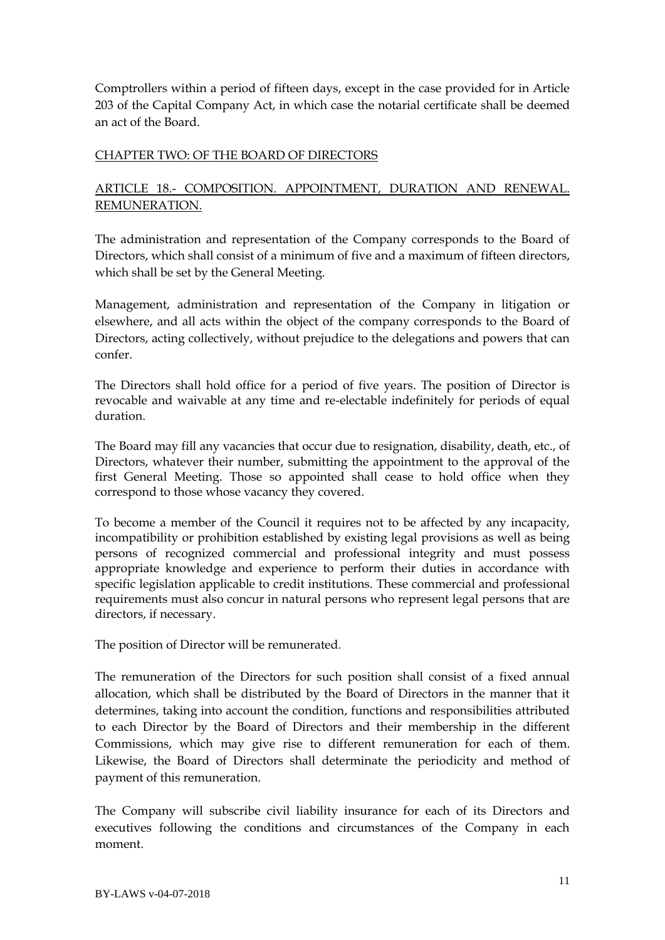Comptrollers within a period of fifteen days, except in the case provided for in Article 203 of the Capital Company Act, in which case the notarial certificate shall be deemed an act of the Board.

## CHAPTER TWO: OF THE BOARD OF DIRECTORS

# ARTICLE 18.- COMPOSITION. APPOINTMENT, DURATION AND RENEWAL. REMUNERATION.

The administration and representation of the Company corresponds to the Board of Directors, which shall consist of a minimum of five and a maximum of fifteen directors, which shall be set by the General Meeting.

Management, administration and representation of the Company in litigation or elsewhere, and all acts within the object of the company corresponds to the Board of Directors, acting collectively, without prejudice to the delegations and powers that can confer.

The Directors shall hold office for a period of five years. The position of Director is revocable and waivable at any time and re-electable indefinitely for periods of equal duration.

The Board may fill any vacancies that occur due to resignation, disability, death, etc., of Directors, whatever their number, submitting the appointment to the approval of the first General Meeting. Those so appointed shall cease to hold office when they correspond to those whose vacancy they covered.

To become a member of the Council it requires not to be affected by any incapacity, incompatibility or prohibition established by existing legal provisions as well as being persons of recognized commercial and professional integrity and must possess appropriate knowledge and experience to perform their duties in accordance with specific legislation applicable to credit institutions. These commercial and professional requirements must also concur in natural persons who represent legal persons that are directors, if necessary.

The position of Director will be remunerated.

The remuneration of the Directors for such position shall consist of a fixed annual allocation, which shall be distributed by the Board of Directors in the manner that it determines, taking into account the condition, functions and responsibilities attributed to each Director by the Board of Directors and their membership in the different Commissions, which may give rise to different remuneration for each of them. Likewise, the Board of Directors shall determinate the periodicity and method of payment of this remuneration.

The Company will subscribe civil liability insurance for each of its Directors and executives following the conditions and circumstances of the Company in each moment.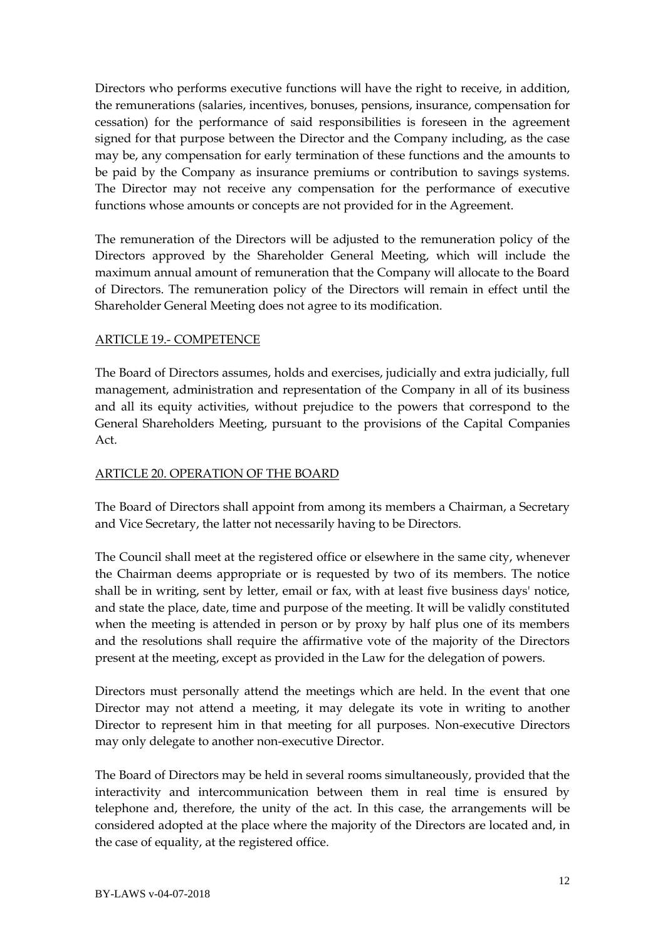Directors who performs executive functions will have the right to receive, in addition, the remunerations (salaries, incentives, bonuses, pensions, insurance, compensation for cessation) for the performance of said responsibilities is foreseen in the agreement signed for that purpose between the Director and the Company including, as the case may be, any compensation for early termination of these functions and the amounts to be paid by the Company as insurance premiums or contribution to savings systems. The Director may not receive any compensation for the performance of executive functions whose amounts or concepts are not provided for in the Agreement.

The remuneration of the Directors will be adjusted to the remuneration policy of the Directors approved by the Shareholder General Meeting, which will include the maximum annual amount of remuneration that the Company will allocate to the Board of Directors. The remuneration policy of the Directors will remain in effect until the Shareholder General Meeting does not agree to its modification.

## ARTICLE 19.- COMPETENCE

The Board of Directors assumes, holds and exercises, judicially and extra judicially, full management, administration and representation of the Company in all of its business and all its equity activities, without prejudice to the powers that correspond to the General Shareholders Meeting, pursuant to the provisions of the Capital Companies Act.

## ARTICLE 20. OPERATION OF THE BOARD

The Board of Directors shall appoint from among its members a Chairman, a Secretary and Vice Secretary, the latter not necessarily having to be Directors.

The Council shall meet at the registered office or elsewhere in the same city, whenever the Chairman deems appropriate or is requested by two of its members. The notice shall be in writing, sent by letter, email or fax, with at least five business days' notice, and state the place, date, time and purpose of the meeting. It will be validly constituted when the meeting is attended in person or by proxy by half plus one of its members and the resolutions shall require the affirmative vote of the majority of the Directors present at the meeting, except as provided in the Law for the delegation of powers.

Directors must personally attend the meetings which are held. In the event that one Director may not attend a meeting, it may delegate its vote in writing to another Director to represent him in that meeting for all purposes. Non-executive Directors may only delegate to another non-executive Director.

The Board of Directors may be held in several rooms simultaneously, provided that the interactivity and intercommunication between them in real time is ensured by telephone and, therefore, the unity of the act. In this case, the arrangements will be considered adopted at the place where the majority of the Directors are located and, in the case of equality, at the registered office.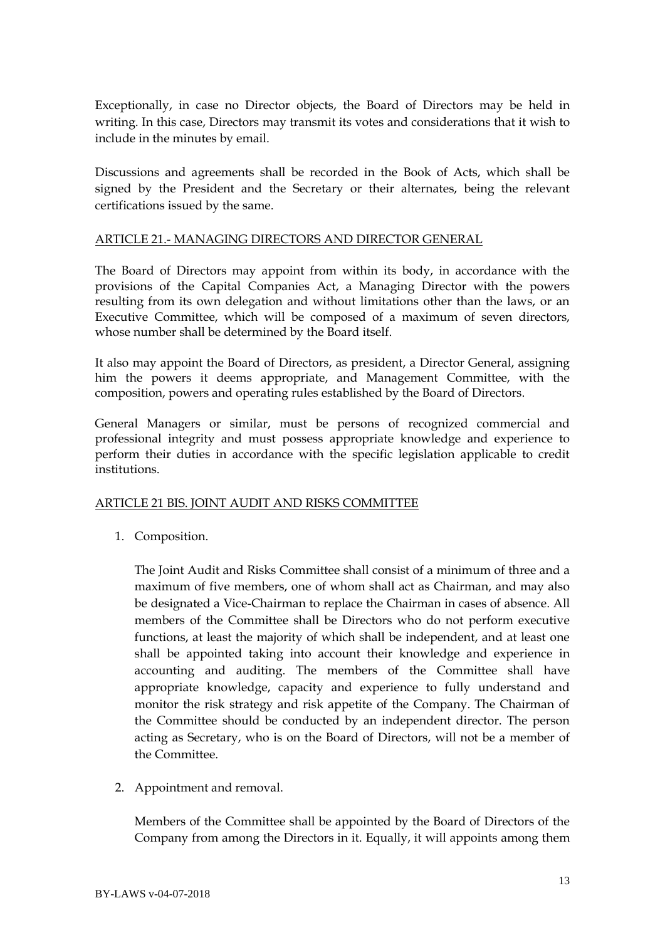Exceptionally, in case no Director objects, the Board of Directors may be held in writing. In this case, Directors may transmit its votes and considerations that it wish to include in the minutes by email.

Discussions and agreements shall be recorded in the Book of Acts, which shall be signed by the President and the Secretary or their alternates, being the relevant certifications issued by the same.

### ARTICLE 21.- MANAGING DIRECTORS AND DIRECTOR GENERAL

The Board of Directors may appoint from within its body, in accordance with the provisions of the Capital Companies Act, a Managing Director with the powers resulting from its own delegation and without limitations other than the laws, or an Executive Committee, which will be composed of a maximum of seven directors, whose number shall be determined by the Board itself.

It also may appoint the Board of Directors, as president, a Director General, assigning him the powers it deems appropriate, and Management Committee, with the composition, powers and operating rules established by the Board of Directors.

General Managers or similar, must be persons of recognized commercial and professional integrity and must possess appropriate knowledge and experience to perform their duties in accordance with the specific legislation applicable to credit institutions.

### ARTICLE 21 BIS. JOINT AUDIT AND RISKS COMMITTEE

1. Composition.

The Joint Audit and Risks Committee shall consist of a minimum of three and a maximum of five members, one of whom shall act as Chairman, and may also be designated a Vice-Chairman to replace the Chairman in cases of absence. All members of the Committee shall be Directors who do not perform executive functions, at least the majority of which shall be independent, and at least one shall be appointed taking into account their knowledge and experience in accounting and auditing. The members of the Committee shall have appropriate knowledge, capacity and experience to fully understand and monitor the risk strategy and risk appetite of the Company. The Chairman of the Committee should be conducted by an independent director. The person acting as Secretary, who is on the Board of Directors, will not be a member of the Committee.

2. Appointment and removal.

Members of the Committee shall be appointed by the Board of Directors of the Company from among the Directors in it. Equally, it will appoints among them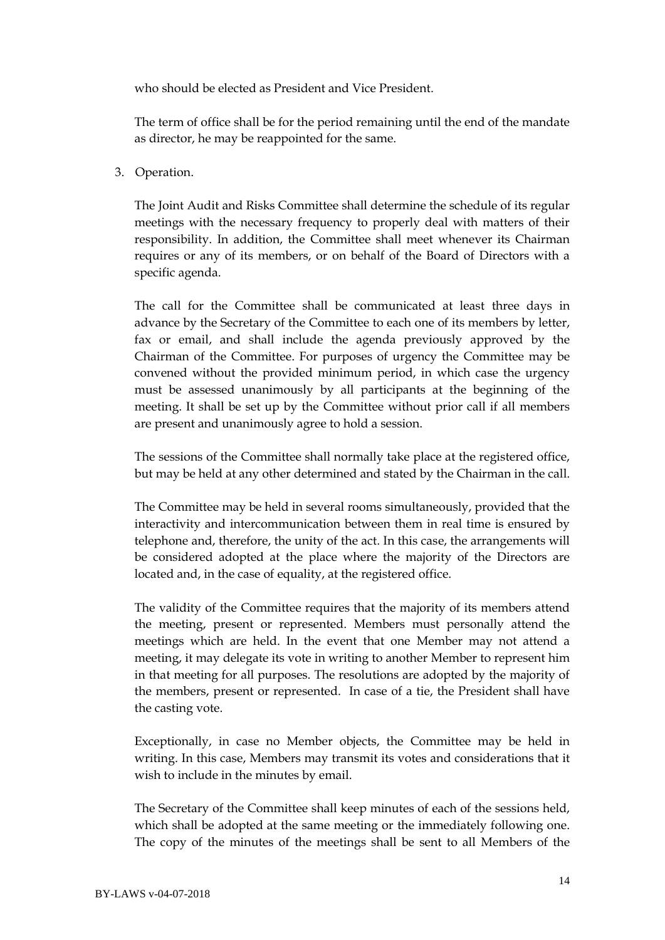who should be elected as President and Vice President.

The term of office shall be for the period remaining until the end of the mandate as director, he may be reappointed for the same.

#### 3. Operation.

The Joint Audit and Risks Committee shall determine the schedule of its regular meetings with the necessary frequency to properly deal with matters of their responsibility. In addition, the Committee shall meet whenever its Chairman requires or any of its members, or on behalf of the Board of Directors with a specific agenda.

The call for the Committee shall be communicated at least three days in advance by the Secretary of the Committee to each one of its members by letter, fax or email, and shall include the agenda previously approved by the Chairman of the Committee. For purposes of urgency the Committee may be convened without the provided minimum period, in which case the urgency must be assessed unanimously by all participants at the beginning of the meeting. It shall be set up by the Committee without prior call if all members are present and unanimously agree to hold a session.

The sessions of the Committee shall normally take place at the registered office, but may be held at any other determined and stated by the Chairman in the call.

The Committee may be held in several rooms simultaneously, provided that the interactivity and intercommunication between them in real time is ensured by telephone and, therefore, the unity of the act. In this case, the arrangements will be considered adopted at the place where the majority of the Directors are located and, in the case of equality, at the registered office.

The validity of the Committee requires that the majority of its members attend the meeting, present or represented. Members must personally attend the meetings which are held. In the event that one Member may not attend a meeting, it may delegate its vote in writing to another Member to represent him in that meeting for all purposes. The resolutions are adopted by the majority of the members, present or represented. In case of a tie, the President shall have the casting vote.

Exceptionally, in case no Member objects, the Committee may be held in writing. In this case, Members may transmit its votes and considerations that it wish to include in the minutes by email.

The Secretary of the Committee shall keep minutes of each of the sessions held, which shall be adopted at the same meeting or the immediately following one. The copy of the minutes of the meetings shall be sent to all Members of the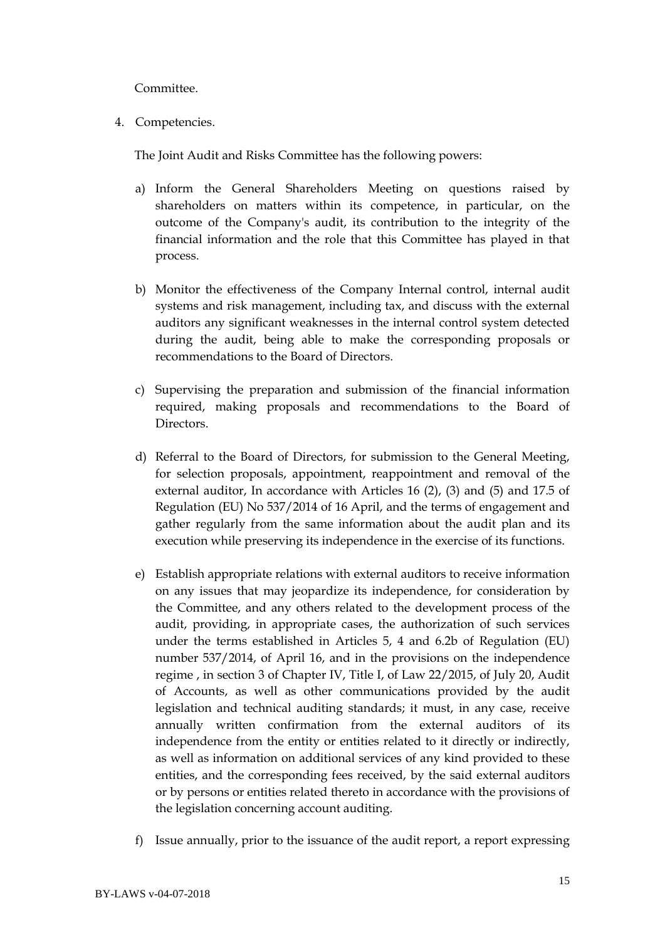Committee.

4. Competencies.

The Joint Audit and Risks Committee has the following powers:

- a) Inform the General Shareholders Meeting on questions raised by shareholders on matters within its competence, in particular, on the outcome of the Company's audit, its contribution to the integrity of the financial information and the role that this Committee has played in that process.
- b) Monitor the effectiveness of the Company Internal control, internal audit systems and risk management, including tax, and discuss with the external auditors any significant weaknesses in the internal control system detected during the audit, being able to make the corresponding proposals or recommendations to the Board of Directors.
- c) Supervising the preparation and submission of the financial information required, making proposals and recommendations to the Board of Directors.
- d) Referral to the Board of Directors, for submission to the General Meeting, for selection proposals, appointment, reappointment and removal of the external auditor, In accordance with Articles 16 (2), (3) and (5) and 17.5 of Regulation (EU) No 537/2014 of 16 April, and the terms of engagement and gather regularly from the same information about the audit plan and its execution while preserving its independence in the exercise of its functions.
- e) Establish appropriate relations with external auditors to receive information on any issues that may jeopardize its independence, for consideration by the Committee, and any others related to the development process of the audit, providing, in appropriate cases, the authorization of such services under the terms established in Articles 5, 4 and 6.2b of Regulation (EU) number 537/2014, of April 16, and in the provisions on the independence regime , in section 3 of Chapter IV, Title I, of Law 22/2015, of July 20, Audit of Accounts, as well as other communications provided by the audit legislation and technical auditing standards; it must, in any case, receive annually written confirmation from the external auditors of its independence from the entity or entities related to it directly or indirectly, as well as information on additional services of any kind provided to these entities, and the corresponding fees received, by the said external auditors or by persons or entities related thereto in accordance with the provisions of the legislation concerning account auditing.
- f) Issue annually, prior to the issuance of the audit report, a report expressing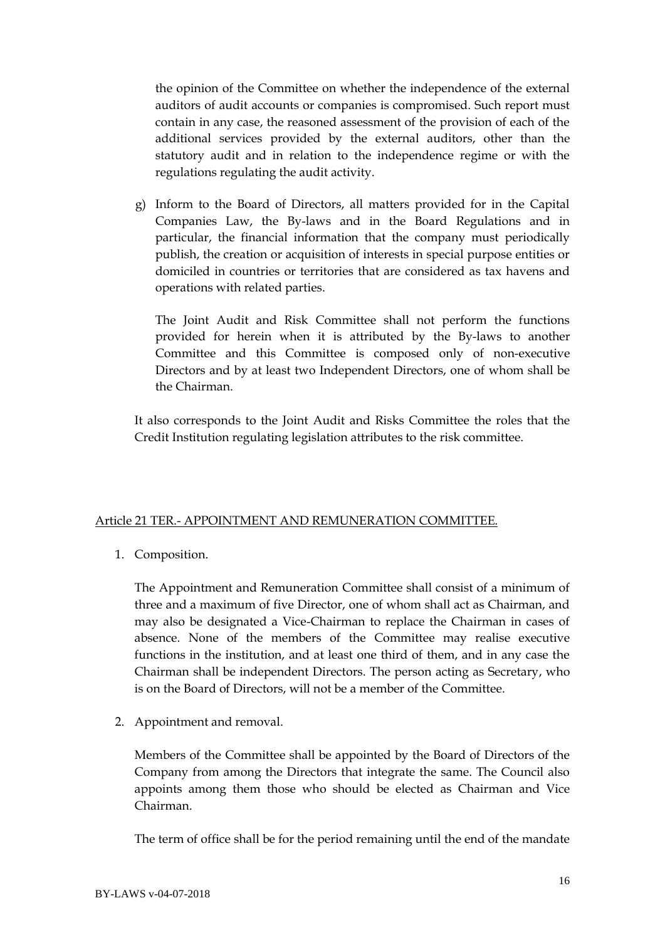the opinion of the Committee on whether the independence of the external auditors of audit accounts or companies is compromised. Such report must contain in any case, the reasoned assessment of the provision of each of the additional services provided by the external auditors, other than the statutory audit and in relation to the independence regime or with the regulations regulating the audit activity.

g) Inform to the Board of Directors, all matters provided for in the Capital Companies Law, the By-laws and in the Board Regulations and in particular, the financial information that the company must periodically publish, the creation or acquisition of interests in special purpose entities or domiciled in countries or territories that are considered as tax havens and operations with related parties.

The Joint Audit and Risk Committee shall not perform the functions provided for herein when it is attributed by the By-laws to another Committee and this Committee is composed only of non-executive Directors and by at least two Independent Directors, one of whom shall be the Chairman.

It also corresponds to the Joint Audit and Risks Committee the roles that the Credit Institution regulating legislation attributes to the risk committee.

## Article 21 TER.- APPOINTMENT AND REMUNERATION COMMITTEE.

1. Composition.

The Appointment and Remuneration Committee shall consist of a minimum of three and a maximum of five Director, one of whom shall act as Chairman, and may also be designated a Vice-Chairman to replace the Chairman in cases of absence. None of the members of the Committee may realise executive functions in the institution, and at least one third of them, and in any case the Chairman shall be independent Directors. The person acting as Secretary, who is on the Board of Directors, will not be a member of the Committee.

2. Appointment and removal.

Members of the Committee shall be appointed by the Board of Directors of the Company from among the Directors that integrate the same. The Council also appoints among them those who should be elected as Chairman and Vice Chairman.

The term of office shall be for the period remaining until the end of the mandate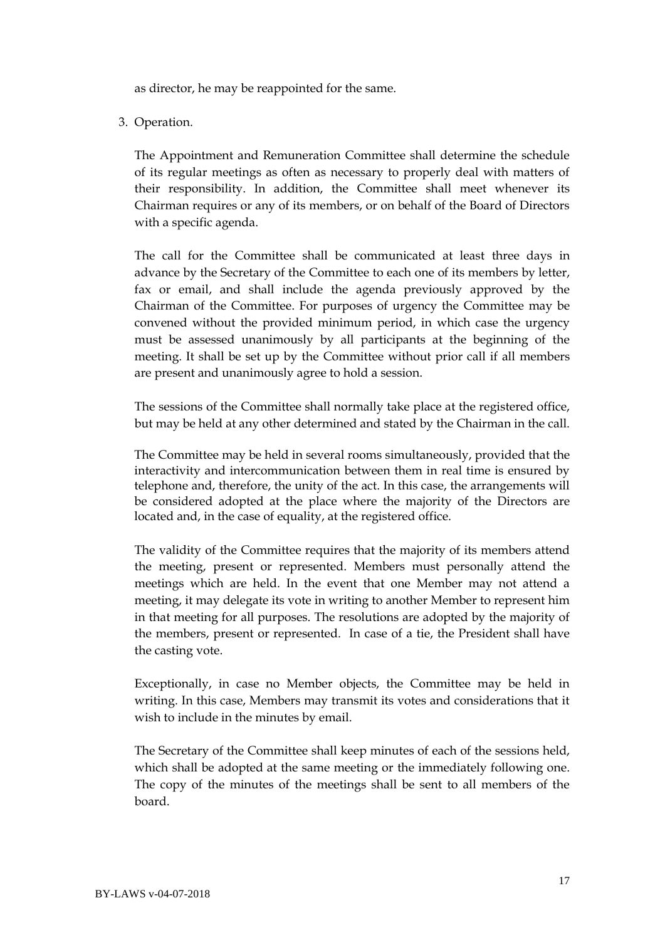as director, he may be reappointed for the same.

3. Operation.

The Appointment and Remuneration Committee shall determine the schedule of its regular meetings as often as necessary to properly deal with matters of their responsibility. In addition, the Committee shall meet whenever its Chairman requires or any of its members, or on behalf of the Board of Directors with a specific agenda.

The call for the Committee shall be communicated at least three days in advance by the Secretary of the Committee to each one of its members by letter, fax or email, and shall include the agenda previously approved by the Chairman of the Committee. For purposes of urgency the Committee may be convened without the provided minimum period, in which case the urgency must be assessed unanimously by all participants at the beginning of the meeting. It shall be set up by the Committee without prior call if all members are present and unanimously agree to hold a session.

The sessions of the Committee shall normally take place at the registered office, but may be held at any other determined and stated by the Chairman in the call.

The Committee may be held in several rooms simultaneously, provided that the interactivity and intercommunication between them in real time is ensured by telephone and, therefore, the unity of the act. In this case, the arrangements will be considered adopted at the place where the majority of the Directors are located and, in the case of equality, at the registered office.

The validity of the Committee requires that the majority of its members attend the meeting, present or represented. Members must personally attend the meetings which are held. In the event that one Member may not attend a meeting, it may delegate its vote in writing to another Member to represent him in that meeting for all purposes. The resolutions are adopted by the majority of the members, present or represented. In case of a tie, the President shall have the casting vote.

Exceptionally, in case no Member objects, the Committee may be held in writing. In this case, Members may transmit its votes and considerations that it wish to include in the minutes by email.

The Secretary of the Committee shall keep minutes of each of the sessions held, which shall be adopted at the same meeting or the immediately following one. The copy of the minutes of the meetings shall be sent to all members of the board.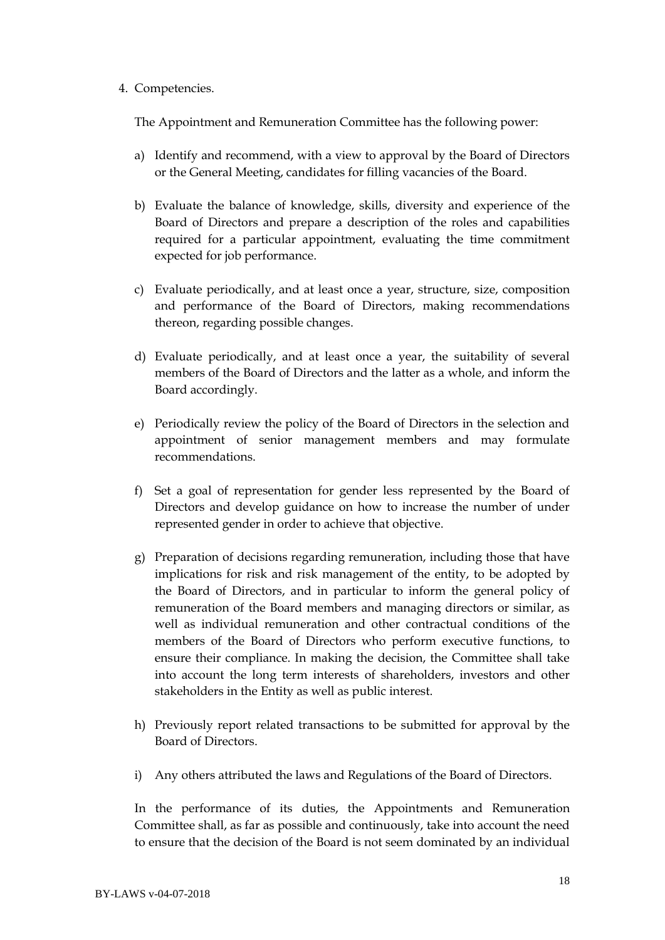#### 4. Competencies.

The Appointment and Remuneration Committee has the following power:

- a) Identify and recommend, with a view to approval by the Board of Directors or the General Meeting, candidates for filling vacancies of the Board.
- b) Evaluate the balance of knowledge, skills, diversity and experience of the Board of Directors and prepare a description of the roles and capabilities required for a particular appointment, evaluating the time commitment expected for job performance.
- c) Evaluate periodically, and at least once a year, structure, size, composition and performance of the Board of Directors, making recommendations thereon, regarding possible changes.
- d) Evaluate periodically, and at least once a year, the suitability of several members of the Board of Directors and the latter as a whole, and inform the Board accordingly.
- e) Periodically review the policy of the Board of Directors in the selection and appointment of senior management members and may formulate recommendations.
- f) Set a goal of representation for gender less represented by the Board of Directors and develop guidance on how to increase the number of under represented gender in order to achieve that objective.
- g) Preparation of decisions regarding remuneration, including those that have implications for risk and risk management of the entity, to be adopted by the Board of Directors, and in particular to inform the general policy of remuneration of the Board members and managing directors or similar, as well as individual remuneration and other contractual conditions of the members of the Board of Directors who perform executive functions, to ensure their compliance. In making the decision, the Committee shall take into account the long term interests of shareholders, investors and other stakeholders in the Entity as well as public interest.
- h) Previously report related transactions to be submitted for approval by the Board of Directors.
- i) Any others attributed the laws and Regulations of the Board of Directors.

In the performance of its duties, the Appointments and Remuneration Committee shall, as far as possible and continuously, take into account the need to ensure that the decision of the Board is not seem dominated by an individual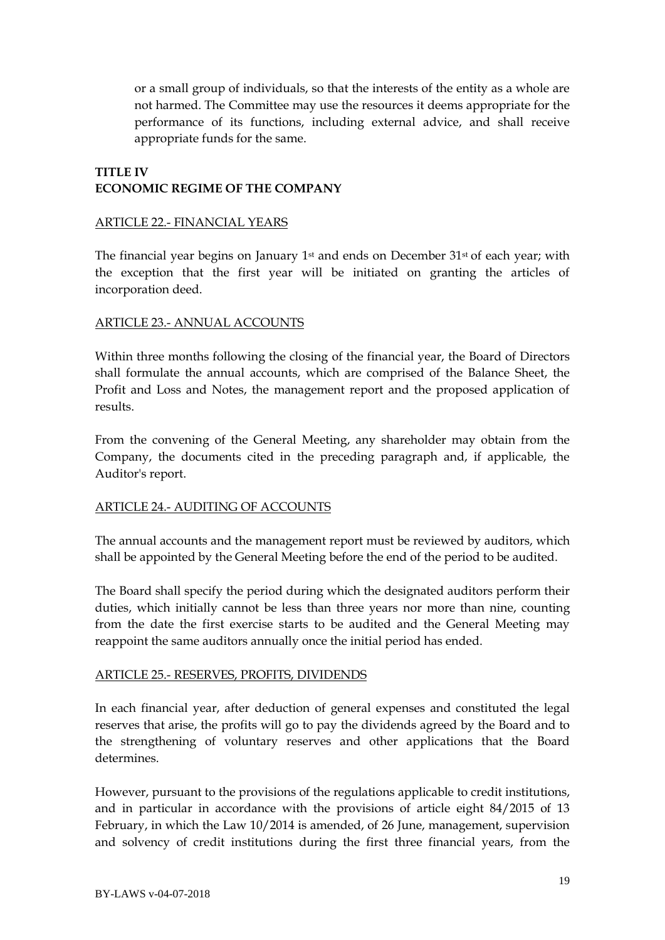or a small group of individuals, so that the interests of the entity as a whole are not harmed. The Committee may use the resources it deems appropriate for the performance of its functions, including external advice, and shall receive appropriate funds for the same.

# **TITLE IV ECONOMIC REGIME OF THE COMPANY**

### ARTICLE 22.- FINANCIAL YEARS

The financial year begins on January 1<sup>st</sup> and ends on December 31<sup>st</sup> of each year; with the exception that the first year will be initiated on granting the articles of incorporation deed.

## ARTICLE 23.- ANNUAL ACCOUNTS

Within three months following the closing of the financial year, the Board of Directors shall formulate the annual accounts, which are comprised of the Balance Sheet, the Profit and Loss and Notes, the management report and the proposed application of results.

From the convening of the General Meeting, any shareholder may obtain from the Company, the documents cited in the preceding paragraph and, if applicable, the Auditor's report.

### ARTICLE 24.- AUDITING OF ACCOUNTS

The annual accounts and the management report must be reviewed by auditors, which shall be appointed by the General Meeting before the end of the period to be audited.

The Board shall specify the period during which the designated auditors perform their duties, which initially cannot be less than three years nor more than nine, counting from the date the first exercise starts to be audited and the General Meeting may reappoint the same auditors annually once the initial period has ended.

### ARTICLE 25.- RESERVES, PROFITS, DIVIDENDS

In each financial year, after deduction of general expenses and constituted the legal reserves that arise, the profits will go to pay the dividends agreed by the Board and to the strengthening of voluntary reserves and other applications that the Board determines.

However, pursuant to the provisions of the regulations applicable to credit institutions, and in particular in accordance with the provisions of article eight 84/2015 of 13 February, in which the Law 10/2014 is amended, of 26 June, management, supervision and solvency of credit institutions during the first three financial years, from the